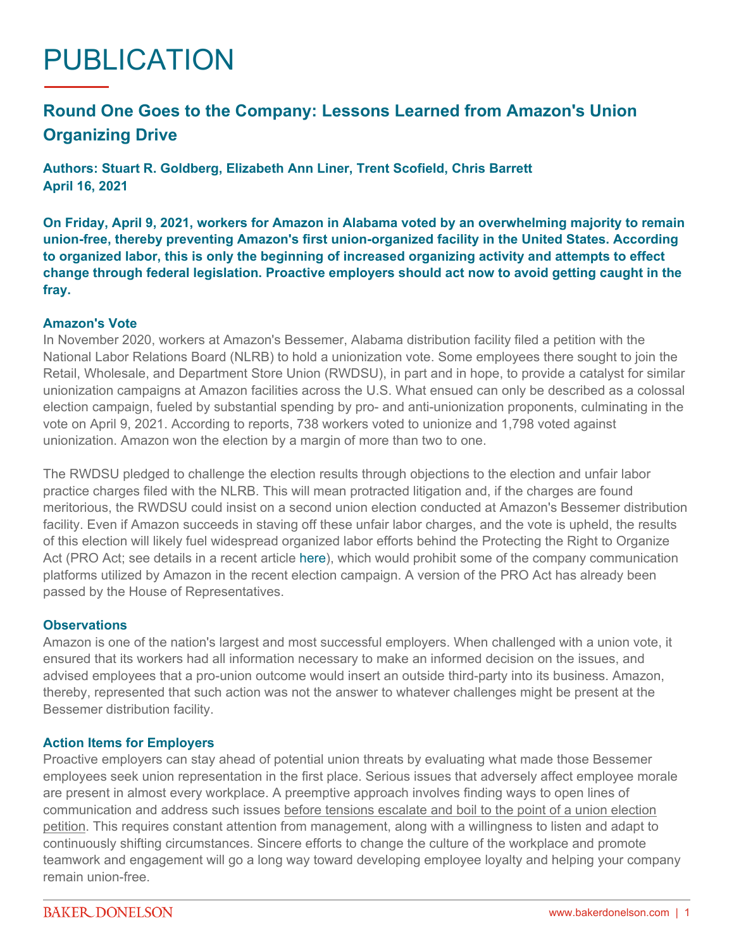# PUBLICATION

## **Round One Goes to the Company: Lessons Learned from Amazon's Union Organizing Drive**

**Authors: Stuart R. Goldberg, Elizabeth Ann Liner, Trent Scofield, Chris Barrett April 16, 2021**

**On Friday, April 9, 2021, workers for Amazon in Alabama voted by an overwhelming majority to remain union-free, thereby preventing Amazon's first union-organized facility in the United States. According to organized labor, this is only the beginning of increased organizing activity and attempts to effect change through federal legislation. Proactive employers should act now to avoid getting caught in the fray.**

#### **Amazon's Vote**

In November 2020, workers at Amazon's Bessemer, Alabama distribution facility filed a petition with the National Labor Relations Board (NLRB) to hold a unionization vote. Some employees there sought to join the Retail, Wholesale, and Department Store Union (RWDSU), in part and in hope, to provide a catalyst for similar unionization campaigns at Amazon facilities across the U.S. What ensued can only be described as a colossal election campaign, fueled by substantial spending by pro- and anti-unionization proponents, culminating in the vote on April 9, 2021. According to reports, 738 workers voted to unionize and 1,798 voted against unionization. Amazon won the election by a margin of more than two to one.

The RWDSU pledged to challenge the election results through objections to the election and unfair labor practice charges filed with the NLRB. This will mean protracted litigation and, if the charges are found meritorious, the RWDSU could insist on a second union election conducted at Amazon's Bessemer distribution facility. Even if Amazon succeeds in staving off these unfair labor charges, and the vote is upheld, the results of this election will likely fuel widespread organized labor efforts behind the Protecting the Right to Organize Act (PRO Act; see details in a recent article [here\)](https://www.bakerdonelson.com/proposed-pro-act-an-act-to-follow), which would prohibit some of the company communication platforms utilized by Amazon in the recent election campaign. A version of the PRO Act has already been passed by the House of Representatives.

### **Observations**

Amazon is one of the nation's largest and most successful employers. When challenged with a union vote, it ensured that its workers had all information necessary to make an informed decision on the issues, and advised employees that a pro-union outcome would insert an outside third-party into its business. Amazon, thereby, represented that such action was not the answer to whatever challenges might be present at the Bessemer distribution facility.

#### **Action Items for Employers**

Proactive employers can stay ahead of potential union threats by evaluating what made those Bessemer employees seek union representation in the first place. Serious issues that adversely affect employee morale are present in almost every workplace. A preemptive approach involves finding ways to open lines of communication and address such issues before tensions escalate and boil to the point of a union election petition. This requires constant attention from management, along with a willingness to listen and adapt to continuously shifting circumstances. Sincere efforts to change the culture of the workplace and promote teamwork and engagement will go a long way toward developing employee loyalty and helping your company remain union-free.